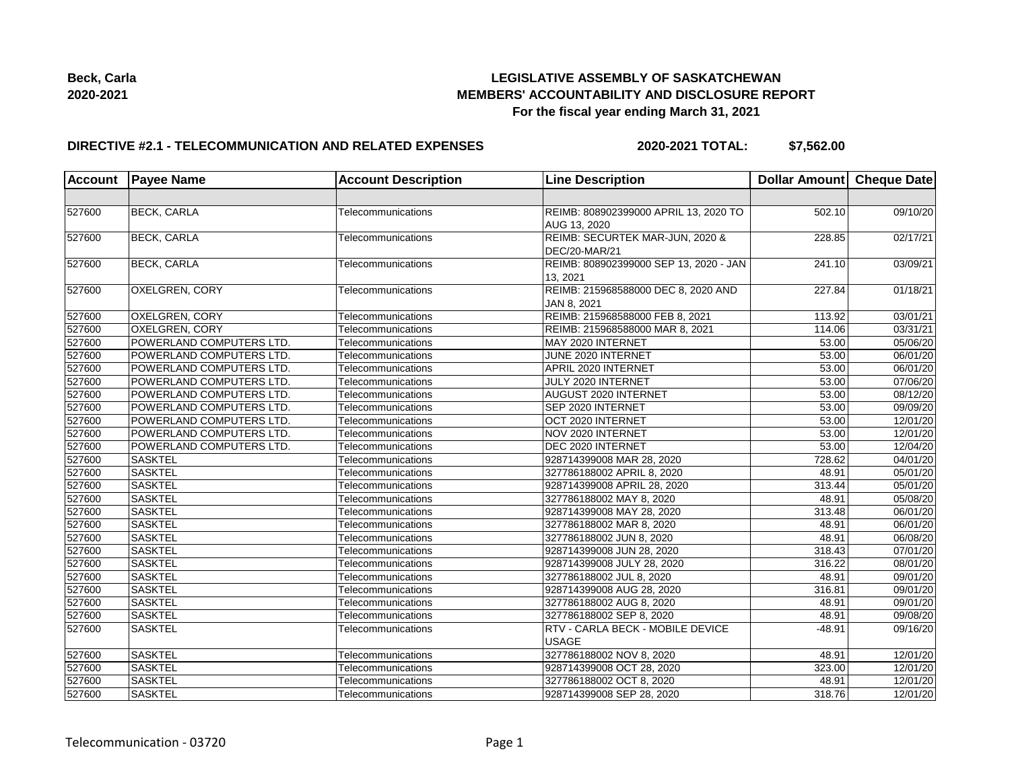

# **DIRECTIVE #2.1 - TELECOMMUNICATION AND RELATED EXPENSES**

**2020-2021 TOTAL: \$7,562.00**

| <b>Account</b> | <b>Payee Name</b>        | <b>Account Description</b> | <b>Line Description</b>                               | Dollar Amount Cheque Date |          |
|----------------|--------------------------|----------------------------|-------------------------------------------------------|---------------------------|----------|
|                |                          |                            |                                                       |                           |          |
| 527600         | <b>BECK, CARLA</b>       | Telecommunications         | REIMB: 808902399000 APRIL 13, 2020 TO<br>AUG 13, 2020 | 502.10                    | 09/10/20 |
| 527600         | <b>BECK, CARLA</b>       | Telecommunications         | REIMB: SECURTEK MAR-JUN, 2020 &<br>DEC/20-MAR/21      | 228.85                    | 02/17/21 |
| 527600         | <b>BECK, CARLA</b>       | Telecommunications         | REIMB: 808902399000 SEP 13, 2020 - JAN<br>13, 2021    | 241.10                    | 03/09/21 |
| 527600         | OXELGREN, CORY           | Telecommunications         | REIMB: 215968588000 DEC 8, 2020 AND<br>JAN 8, 2021    | 227.84                    | 01/18/21 |
| 527600         | <b>OXELGREN, CORY</b>    | Telecommunications         | REIMB: 215968588000 FEB 8, 2021                       | 113.92                    | 03/01/21 |
| 527600         | <b>OXELGREN, CORY</b>    | Telecommunications         | REIMB: 215968588000 MAR 8, 2021                       | 114.06                    | 03/31/21 |
| 527600         | POWERLAND COMPUTERS LTD. | Telecommunications         | MAY 2020 INTERNET                                     | 53.00                     | 05/06/20 |
| 527600         | POWERLAND COMPUTERS LTD. | Telecommunications         | JUNE 2020 INTERNET                                    | 53.00                     | 06/01/20 |
| 527600         | POWERLAND COMPUTERS LTD. | Telecommunications         | APRIL 2020 INTERNET                                   | 53.00                     | 06/01/20 |
| 527600         | POWERLAND COMPUTERS LTD. | Telecommunications         | JULY 2020 INTERNET                                    | 53.00                     | 07/06/20 |
| 527600         | POWERLAND COMPUTERS LTD. | Telecommunications         | AUGUST 2020 INTERNET                                  | 53.00                     | 08/12/20 |
| 527600         | POWERLAND COMPUTERS LTD. | Telecommunications         | SEP 2020 INTERNET                                     | 53.00                     | 09/09/20 |
| 527600         | POWERLAND COMPUTERS LTD. | Telecommunications         | OCT 2020 INTERNET                                     | 53.00                     | 12/01/20 |
| 527600         | POWERLAND COMPUTERS LTD. | Telecommunications         | NOV 2020 INTERNET                                     | 53.00                     | 12/01/20 |
| 527600         | POWERLAND COMPUTERS LTD. | Telecommunications         | DEC 2020 INTERNET                                     | 53.00                     | 12/04/20 |
| 527600         | <b>SASKTEL</b>           | Telecommunications         | 928714399008 MAR 28, 2020                             | 728.62                    | 04/01/20 |
| 527600         | <b>SASKTEL</b>           | Telecommunications         | 327786188002 APRIL 8, 2020                            | 48.91                     | 05/01/20 |
| 527600         | <b>SASKTEL</b>           | Telecommunications         | 928714399008 APRIL 28, 2020                           | 313.44                    | 05/01/20 |
| 527600         | <b>SASKTEL</b>           | Telecommunications         | 327786188002 MAY 8, 2020                              | 48.91                     | 05/08/20 |
| 527600         | <b>SASKTEL</b>           | Telecommunications         | 928714399008 MAY 28, 2020                             | 313.48                    | 06/01/20 |
| 527600         | <b>SASKTEL</b>           | Telecommunications         | 327786188002 MAR 8, 2020                              | 48.91                     | 06/01/20 |
| 527600         | <b>SASKTEL</b>           | Telecommunications         | 327786188002 JUN 8, 2020                              | 48.91                     | 06/08/20 |
| 527600         | <b>SASKTEL</b>           | Telecommunications         | 928714399008 JUN 28, 2020                             | 318.43                    | 07/01/20 |
| 527600         | <b>SASKTEL</b>           | Telecommunications         | 928714399008 JULY 28, 2020                            | 316.22                    | 08/01/20 |
| 527600         | <b>SASKTEL</b>           | Telecommunications         | 327786188002 JUL 8, 2020                              | 48.91                     | 09/01/20 |
| 527600         | <b>SASKTEL</b>           | Telecommunications         | 928714399008 AUG 28, 2020                             | 316.81                    | 09/01/20 |
| 527600         | <b>SASKTEL</b>           | Telecommunications         | 327786188002 AUG 8, 2020                              | 48.91                     | 09/01/20 |
| 527600         | <b>SASKTEL</b>           | Telecommunications         | 327786188002 SEP 8, 2020                              | 48.91                     | 09/08/20 |
| 527600         | <b>SASKTEL</b>           | Telecommunications         | RTV - CARLA BECK - MOBILE DEVICE<br><b>USAGE</b>      | $-48.91$                  | 09/16/20 |
| 527600         | <b>SASKTEL</b>           | Telecommunications         | 327786188002 NOV 8, 2020                              | 48.91                     | 12/01/20 |
| 527600         | <b>SASKTEL</b>           | Telecommunications         | 928714399008 OCT 28, 2020                             | 323.00                    | 12/01/20 |
| 527600         | <b>SASKTEL</b>           | Telecommunications         | 327786188002 OCT 8, 2020                              | 48.91                     | 12/01/20 |
| 527600         | <b>SASKTEL</b>           | Telecommunications         | 928714399008 SEP 28, 2020                             | 318.76                    | 12/01/20 |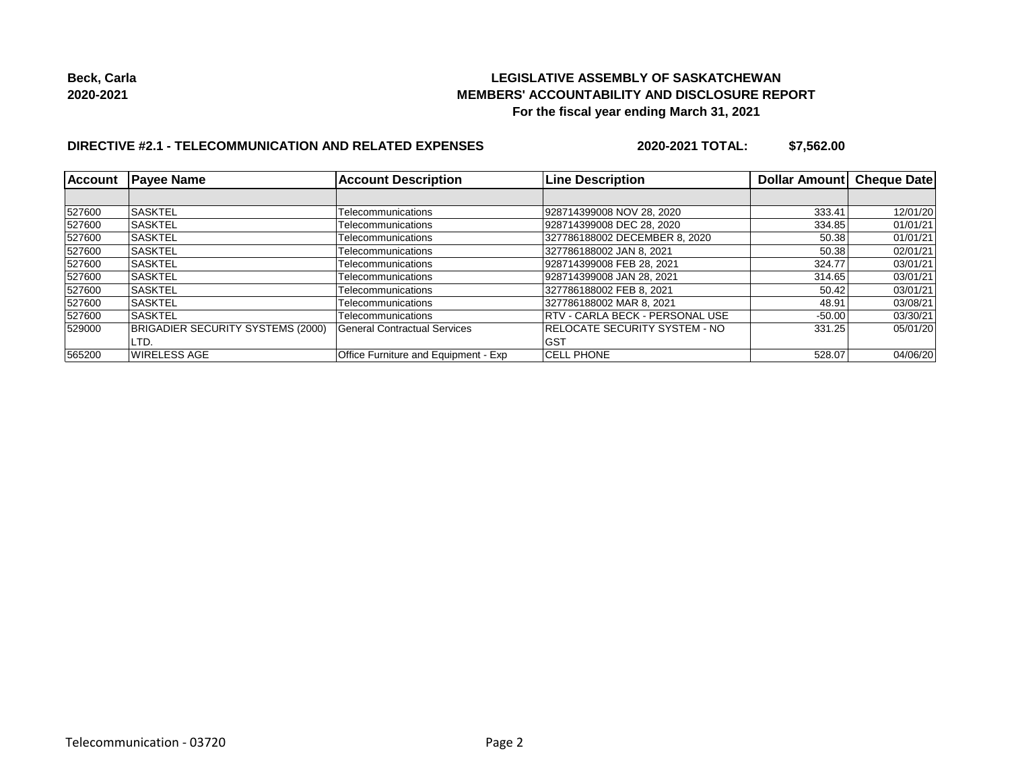

# **DIRECTIVE #2.1 - TELECOMMUNICATION AND RELATED EXPENSES**

**2020-2021 TOTAL: \$7,562.00**

| Account | <b>Payee Name</b>                        | <b>Account Description</b>           | <b>Line Description</b>                 | Dollar Amount | <b>Cheque Date</b> |
|---------|------------------------------------------|--------------------------------------|-----------------------------------------|---------------|--------------------|
|         |                                          |                                      |                                         |               |                    |
| 527600  | <b>SASKTEL</b>                           | Telecommunications                   | 928714399008 NOV 28, 2020               | 333.41        | 12/01/20           |
| 527600  | ISASKTEL                                 | Telecommunications                   | 928714399008 DEC 28, 2020               | 334.85        | 01/01/21           |
| 527600  | <b>SASKTEL</b>                           | Telecommunications                   | 327786188002 DECEMBER 8, 2020           | 50.38         | 01/01/21           |
| 527600  | ISASKTEL                                 | Telecommunications                   | 327786188002 JAN 8, 2021                | 50.38         | 02/01/21           |
| 527600  | <b>SASKTEL</b>                           | Telecommunications                   | 928714399008 FEB 28, 2021               | 324.77        | 03/01/21           |
| 527600  | <b>SASKTEL</b>                           | Telecommunications                   | 928714399008 JAN 28, 2021               | 314.65        | 03/01/21           |
| 527600  | <b>ISASKTEL</b>                          | Telecommunications                   | 327786188002 FEB 8, 2021                | 50.42         | 03/01/21           |
| 527600  | <b>ISASKTEL</b>                          | Telecommunications                   | 327786188002 MAR 8, 2021                | 48.91         | 03/08/21           |
| 527600  | <b>ISASKTEL</b>                          | Telecommunications                   | <b>IRTV - CARLA BECK - PERSONAL USE</b> | $-50.00$      | 03/30/21           |
| 529000  | <b>BRIGADIER SECURITY SYSTEMS (2000)</b> | <b>General Contractual Services</b>  | <b>IRELOCATE SECURITY SYSTEM - NO</b>   | 331.25        | 05/01/20           |
|         | LTD.                                     |                                      | GST                                     |               |                    |
| 565200  | <b>WIRELESS AGE</b>                      | Office Furniture and Equipment - Exp | <b>CELL PHONE</b>                       | 528.07        | 04/06/20           |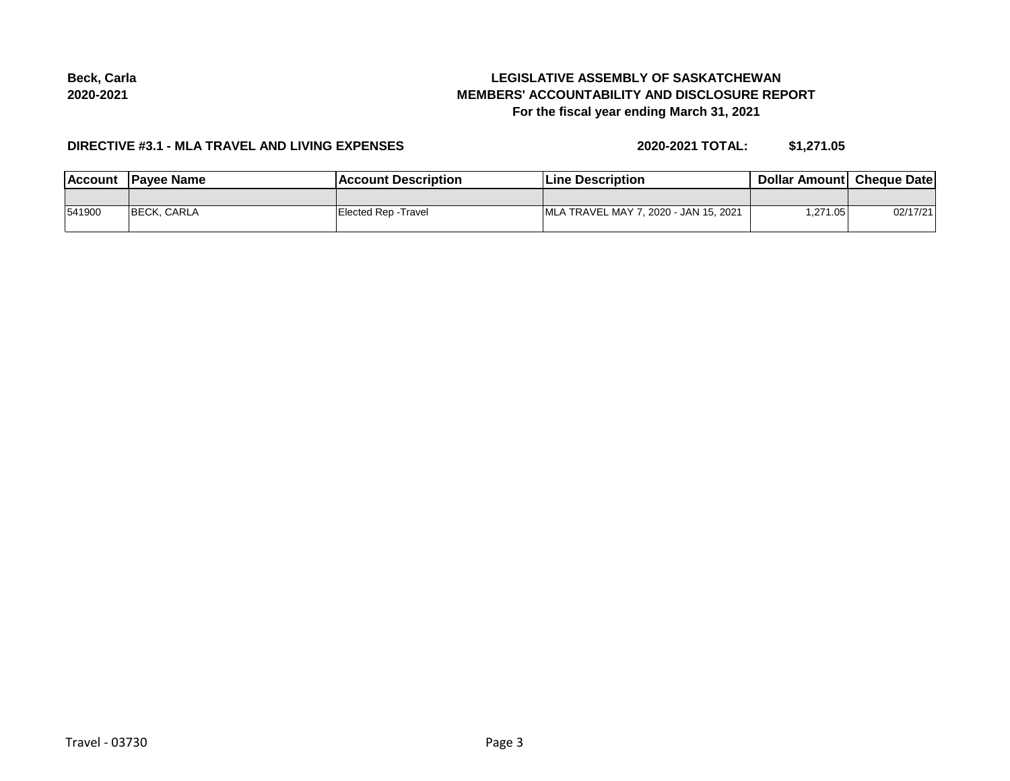# **LEGISLATIVE ASSEMBLY OF SASKATCHEWAN MEMBERS' ACCOUNTABILITY AND DISCLOSURE REPORT For the fiscal year ending March 31, 2021**

#### **DIRECTIVE #3.1 - MLA TRAVEL AND LIVING EXPENSES**

**2020-2021 TOTAL: \$1,271.05**

| Account | <b>IPavee Name</b>  | Account Description  | <b>Line Description</b>               | <b>Dollar Amountl Cheque Date</b> |          |
|---------|---------------------|----------------------|---------------------------------------|-----------------------------------|----------|
|         |                     |                      |                                       |                                   |          |
| 541900  | <b>IBECK, CARLA</b> | Elected Rep - Travel | MLA TRAVEL MAY 7, 2020 - JAN 15, 2021 | 271.05,                           | 02/17/21 |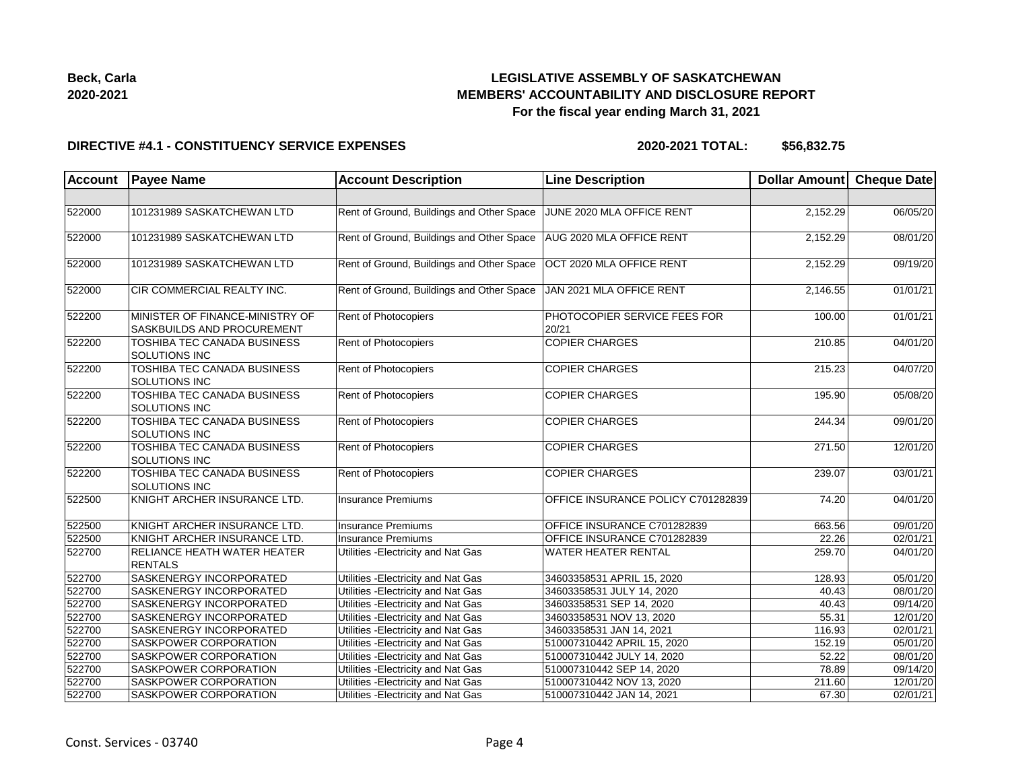# **LEGISLATIVE ASSEMBLY OF SASKATCHEWAN MEMBERS' ACCOUNTABILITY AND DISCLOSURE REPORT For the fiscal year ending March 31, 2021**

#### **DIRECTIVE #4.1 - CONSTITUENCY SERVICE EXPENSES**

| <b>Account</b> | <b>Payee Name</b>                                             | <b>Account Description</b>                | <b>Line Description</b>               | Dollar Amount Cheque Date |          |
|----------------|---------------------------------------------------------------|-------------------------------------------|---------------------------------------|---------------------------|----------|
|                |                                                               |                                           |                                       |                           |          |
| 522000         | 101231989 SASKATCHEWAN LTD                                    | Rent of Ground, Buildings and Other Space | JUNE 2020 MLA OFFICE RENT             | 2,152.29                  | 06/05/20 |
| 522000         | 101231989 SASKATCHEWAN LTD                                    | Rent of Ground, Buildings and Other Space | AUG 2020 MLA OFFICE RENT              | 2,152.29                  | 08/01/20 |
| 522000         | 101231989 SASKATCHEWAN LTD                                    | Rent of Ground, Buildings and Other Space | OCT 2020 MLA OFFICE RENT              | 2,152.29                  | 09/19/20 |
| 522000         | CIR COMMERCIAL REALTY INC.                                    | Rent of Ground, Buildings and Other Space | JAN 2021 MLA OFFICE RENT              | 2,146.55                  | 01/01/21 |
| 522200         | MINISTER OF FINANCE-MINISTRY OF<br>SASKBUILDS AND PROCUREMENT | Rent of Photocopiers                      | PHOTOCOPIER SERVICE FEES FOR<br>20/21 | 100.00                    | 01/01/21 |
| 522200         | TOSHIBA TEC CANADA BUSINESS<br>SOLUTIONS INC                  | Rent of Photocopiers                      | <b>COPIER CHARGES</b>                 | 210.85                    | 04/01/20 |
| 522200         | TOSHIBA TEC CANADA BUSINESS<br>SOLUTIONS INC                  | Rent of Photocopiers                      | <b>COPIER CHARGES</b>                 | 215.23                    | 04/07/20 |
| 522200         | TOSHIBA TEC CANADA BUSINESS<br>SOLUTIONS INC                  | Rent of Photocopiers                      | <b>COPIER CHARGES</b>                 | 195.90                    | 05/08/20 |
| 522200         | TOSHIBA TEC CANADA BUSINESS<br>SOLUTIONS INC                  | Rent of Photocopiers                      | <b>COPIER CHARGES</b>                 | 244.34                    | 09/01/20 |
| 522200         | <b>TOSHIBA TEC CANADA BUSINESS</b><br>SOLUTIONS INC           | Rent of Photocopiers                      | <b>COPIER CHARGES</b>                 | $\overline{271.50}$       | 12/01/20 |
| 522200         | TOSHIBA TEC CANADA BUSINESS<br>SOLUTIONS INC                  | Rent of Photocopiers                      | <b>COPIER CHARGES</b>                 | 239.07                    | 03/01/21 |
| 522500         | KNIGHT ARCHER INSURANCE LTD.                                  | <b>Insurance Premiums</b>                 | OFFICE INSURANCE POLICY C701282839    | 74.20                     | 04/01/20 |
| 522500         | KNIGHT ARCHER INSURANCE LTD.                                  | <b>Insurance Premiums</b>                 | OFFICE INSURANCE C701282839           | 663.56                    | 09/01/20 |
| 522500         | KNIGHT ARCHER INSURANCE LTD.                                  | Insurance Premiums                        | OFFICE INSURANCE C701282839           | 22.26                     | 02/01/21 |
| 522700         | RELIANCE HEATH WATER HEATER<br><b>RENTALS</b>                 | Utilities - Electricity and Nat Gas       | WATER HEATER RENTAL                   | 259.70                    | 04/01/20 |
| 522700         | SASKENERGY INCORPORATED                                       | Utilities - Electricity and Nat Gas       | 34603358531 APRIL 15, 2020            | 128.93                    | 05/01/20 |
| 522700         | SASKENERGY INCORPORATED                                       | Utilities - Electricity and Nat Gas       | 34603358531 JULY 14, 2020             | 40.43                     | 08/01/20 |
| 522700         | SASKENERGY INCORPORATED                                       | Utilities - Electricity and Nat Gas       | 34603358531 SEP 14, 2020              | 40.43                     | 09/14/20 |
| 522700         | SASKENERGY INCORPORATED                                       | Utilities - Electricity and Nat Gas       | 34603358531 NOV 13, 2020              | 55.31                     | 12/01/20 |
| 522700         | SASKENERGY INCORPORATED                                       | Utilities - Electricity and Nat Gas       | 34603358531 JAN 14, 2021              | 116.93                    | 02/01/21 |
| 522700         | SASKPOWER CORPORATION                                         | Utilities - Electricity and Nat Gas       | 510007310442 APRIL 15, 2020           | 152.19                    | 05/01/20 |
| 522700         | SASKPOWER CORPORATION                                         | Utilities - Electricity and Nat Gas       | 510007310442 JULY 14, 2020            | 52.22                     | 08/01/20 |
| 522700         | SASKPOWER CORPORATION                                         | Utilities - Electricity and Nat Gas       | 510007310442 SEP 14, 2020             | 78.89                     | 09/14/20 |
| 522700         | SASKPOWER CORPORATION                                         | Utilities - Electricity and Nat Gas       | 510007310442 NOV 13, 2020             | 211.60                    | 12/01/20 |
| 522700         | SASKPOWER CORPORATION                                         | Utilities - Electricity and Nat Gas       | 510007310442 JAN 14, 2021             | 67.30                     | 02/01/21 |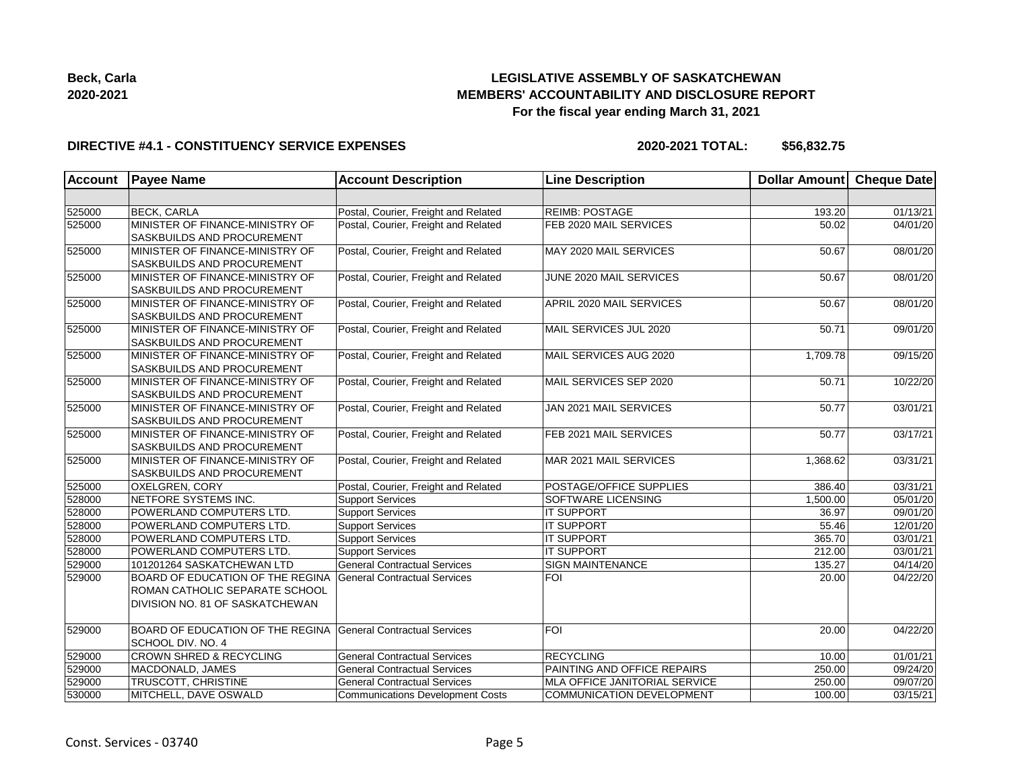

# **DIRECTIVE #4.1 - CONSTITUENCY SERVICE EXPENSES**

| <b>Account</b> | <b>Payee Name</b>                  | <b>Account Description</b>              | <b>Line Description</b>       | <b>Dollar Amount</b> | <b>Cheque Date</b>    |
|----------------|------------------------------------|-----------------------------------------|-------------------------------|----------------------|-----------------------|
|                |                                    |                                         |                               |                      |                       |
| 525000         | <b>BECK, CARLA</b>                 | Postal, Courier, Freight and Related    | <b>REIMB: POSTAGE</b>         | 193.20               | 01/13/21              |
| 525000         | MINISTER OF FINANCE-MINISTRY OF    | Postal, Courier, Freight and Related    | FEB 2020 MAIL SERVICES        | 50.02                | 04/01/20              |
|                | SASKBUILDS AND PROCUREMENT         |                                         |                               |                      |                       |
| 525000         | MINISTER OF FINANCE-MINISTRY OF    | Postal, Courier, Freight and Related    | MAY 2020 MAIL SERVICES        | 50.67                | 08/01/20              |
|                | SASKBUILDS AND PROCUREMENT         |                                         |                               |                      |                       |
| 525000         | MINISTER OF FINANCE-MINISTRY OF    | Postal, Courier, Freight and Related    | JUNE 2020 MAIL SERVICES       | 50.67                | 08/01/20              |
|                | SASKBUILDS AND PROCUREMENT         |                                         |                               |                      |                       |
| 525000         | MINISTER OF FINANCE-MINISTRY OF    | Postal, Courier, Freight and Related    | APRIL 2020 MAIL SERVICES      | 50.67                | 08/01/20              |
|                | SASKBUILDS AND PROCUREMENT         |                                         |                               |                      |                       |
| 525000         | MINISTER OF FINANCE-MINISTRY OF    | Postal, Courier, Freight and Related    | MAIL SERVICES JUL 2020        | 50.71                | 09/01/20              |
|                | SASKBUILDS AND PROCUREMENT         |                                         |                               |                      |                       |
| 525000         | MINISTER OF FINANCE-MINISTRY OF    | Postal, Courier, Freight and Related    | MAIL SERVICES AUG 2020        | 1,709.78             | 09/15/20              |
|                | SASKBUILDS AND PROCUREMENT         |                                         |                               |                      |                       |
| 525000         | MINISTER OF FINANCE-MINISTRY OF    | Postal, Courier, Freight and Related    | MAIL SERVICES SEP 2020        | 50.71                | 10/22/20              |
|                | SASKBUILDS AND PROCUREMENT         |                                         |                               |                      |                       |
| 525000         | MINISTER OF FINANCE-MINISTRY OF    | Postal, Courier, Freight and Related    | JAN 2021 MAIL SERVICES        | 50.77                | 03/01/21              |
|                | SASKBUILDS AND PROCUREMENT         |                                         |                               |                      |                       |
| 525000         | MINISTER OF FINANCE-MINISTRY OF    | Postal, Courier, Freight and Related    | <b>FEB 2021 MAIL SERVICES</b> | 50.77                | 03/17/21              |
|                | SASKBUILDS AND PROCUREMENT         |                                         |                               |                      |                       |
| 525000         | MINISTER OF FINANCE-MINISTRY OF    | Postal, Courier, Freight and Related    | MAR 2021 MAIL SERVICES        | 1,368.62             | 03/31/21              |
|                | SASKBUILDS AND PROCUREMENT         |                                         |                               |                      |                       |
| 525000         | OXELGREN, CORY                     | Postal, Courier, Freight and Related    | POSTAGE/OFFICE SUPPLIES       | 386.40               | 03/31/21              |
| 528000         | NETFORE SYSTEMS INC.               | <b>Support Services</b>                 | SOFTWARE LICENSING            | 1,500.00             | 05/01/20              |
| 528000         | POWERLAND COMPUTERS LTD.           | <b>Support Services</b>                 | <b>IT SUPPORT</b>             | 36.97                | 09/01/20              |
| 528000         | POWERLAND COMPUTERS LTD.           | <b>Support Services</b>                 | <b>IT SUPPORT</b>             | 55.46                | 12/01/20              |
| 528000         | POWERLAND COMPUTERS LTD.           | <b>Support Services</b>                 | <b>IT SUPPORT</b>             | 365.70               | 03/01/21              |
| 528000         | POWERLAND COMPUTERS LTD.           | <b>Support Services</b>                 | <b>IT SUPPORT</b>             | 212.00               | 03/01/21              |
| 529000         | 101201264 SASKATCHEWAN LTD         | <b>General Contractual Services</b>     | <b>SIGN MAINTENANCE</b>       | 135.27               | 04/14/20              |
| 529000         | BOARD OF EDUCATION OF THE REGINA   | <b>General Contractual Services</b>     | <b>FOI</b>                    | 20.00                | 04/22/20              |
|                | ROMAN CATHOLIC SEPARATE SCHOOL     |                                         |                               |                      |                       |
|                | DIVISION NO. 81 OF SASKATCHEWAN    |                                         |                               |                      |                       |
| 529000         | BOARD OF EDUCATION OF THE REGINA   | General Contractual Services            | FOI                           | 20.00                | 04/22/20              |
|                | SCHOOL DIV. NO. 4                  |                                         |                               |                      |                       |
| 529000         | <b>CROWN SHRED &amp; RECYCLING</b> | <b>General Contractual Services</b>     | <b>RECYCLING</b>              | 10.00                | $\overline{01/01/21}$ |
| 529000         | MACDONALD, JAMES                   | <b>General Contractual Services</b>     | PAINTING AND OFFICE REPAIRS   | 250.00               | 09/24/20              |
| 529000         | TRUSCOTT, CHRISTINE                | <b>General Contractual Services</b>     | MLA OFFICE JANITORIAL SERVICE | 250.00               | 09/07/20              |
| 530000         | MITCHELL, DAVE OSWALD              | <b>Communications Development Costs</b> | COMMUNICATION DEVELOPMENT     | 100.00               | 03/15/21              |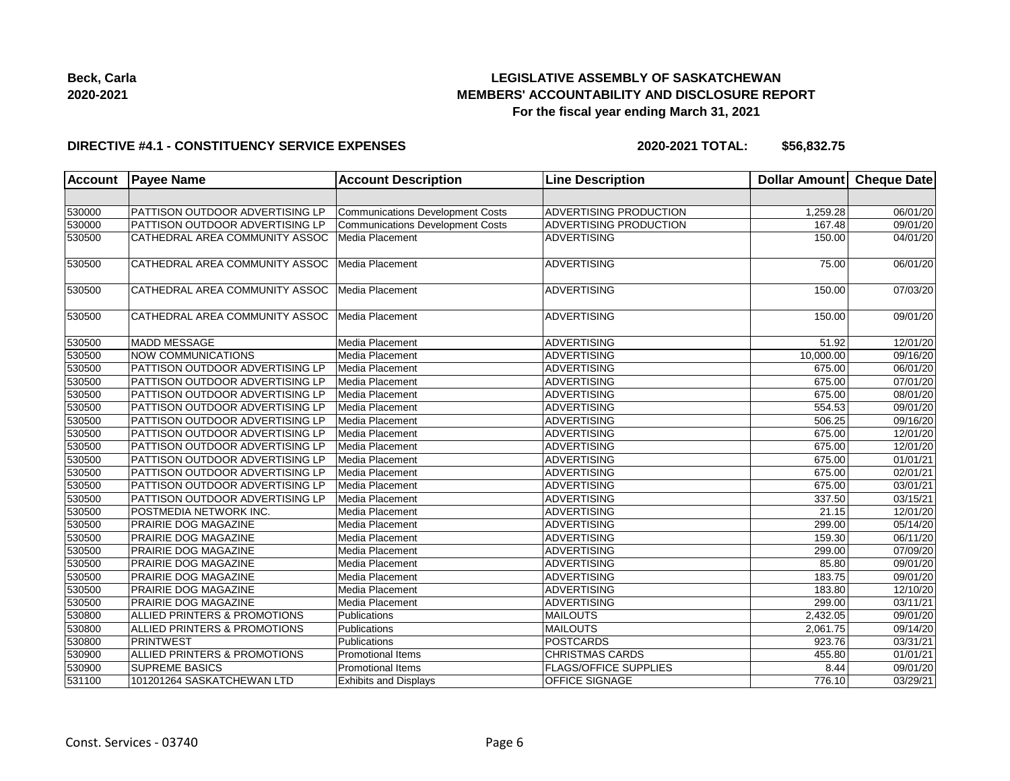

#### **DIRECTIVE #4.1 - CONSTITUENCY SERVICE EXPENSES**

| <b>Account</b> | <b>Payee Name</b>                      | <b>Account Description</b>              | <b>Line Description</b>      | <b>Dollar Amount</b> | <b>Cheque Date</b>    |
|----------------|----------------------------------------|-----------------------------------------|------------------------------|----------------------|-----------------------|
|                |                                        |                                         |                              |                      |                       |
| 530000         | PATTISON OUTDOOR ADVERTISING LP        | <b>Communications Development Costs</b> | ADVERTISING PRODUCTION       | 1,259.28             | 06/01/20              |
| 530000         | <b>PATTISON OUTDOOR ADVERTISING LP</b> | <b>Communications Development Costs</b> | ADVERTISING PRODUCTION       | 167.48               | 09/01/20              |
| 530500         | CATHEDRAL AREA COMMUNITY ASSOC         | Media Placement                         | <b>ADVERTISING</b>           | 150.00               | $\overline{04/0}1/20$ |
| 530500         | CATHEDRAL AREA COMMUNITY ASSOC         | Media Placement                         | <b>ADVERTISING</b>           | 75.00                | 06/01/20              |
| 530500         | CATHEDRAL AREA COMMUNITY ASSOC         | Media Placement                         | <b>ADVERTISING</b>           | 150.00               | 07/03/20              |
| 530500         | CATHEDRAL AREA COMMUNITY ASSOC         | Media Placement                         | <b>ADVERTISING</b>           | 150.00               | 09/01/20              |
| 530500         | MADD MESSAGE                           | Media Placement                         | <b>ADVERTISING</b>           | $\overline{5}1.92$   | 12/01/20              |
| 530500         | NOW COMMUNICATIONS                     | Media Placement                         | <b>ADVERTISING</b>           | 10,000.00            | 09/16/20              |
| 530500         | PATTISON OUTDOOR ADVERTISING LP        | Media Placement                         | <b>ADVERTISING</b>           | 675.00               | 06/01/20              |
| 530500         | PATTISON OUTDOOR ADVERTISING LP        | Media Placement                         | ADVERTISING                  | 675.00               | 07/01/20              |
| 530500         | <b>PATTISON OUTDOOR ADVERTISING LP</b> | Media Placement                         | ADVERTISING                  | 675.00               | 08/01/20              |
| 530500         | PATTISON OUTDOOR ADVERTISING LP        | Media Placement                         | <b>ADVERTISING</b>           | 554.53               | 09/01/20              |
| 530500         | PATTISON OUTDOOR ADVERTISING LP        | Media Placement                         | <b>ADVERTISING</b>           | 506.25               | 09/16/20              |
| 530500         | PATTISON OUTDOOR ADVERTISING LP        | Media Placement                         | <b>ADVERTISING</b>           | 675.00               | 12/01/20              |
| 530500         | PATTISON OUTDOOR ADVERTISING LP        | Media Placement                         | <b>ADVERTISING</b>           | 675.00               | 12/01/20              |
| 530500         | PATTISON OUTDOOR ADVERTISING LP        | Media Placement                         | <b>ADVERTISING</b>           | 675.00               | 01/01/21              |
| 530500         | <b>PATTISON OUTDOOR ADVERTISING LP</b> | Media Placement                         | ADVERTISING                  | 675.00               | $\overline{02/01/21}$ |
| 530500         | PATTISON OUTDOOR ADVERTISING LP        | Media Placement                         | ADVERTISING                  | 675.00               | 03/01/21              |
| 530500         | PATTISON OUTDOOR ADVERTISING LP        | Media Placement                         | ADVERTISING                  | 337.50               | 03/15/21              |
| 530500         | POSTMEDIA NETWORK INC.                 | Media Placement                         | <b>ADVERTISING</b>           | 21.15                | 12/01/20              |
| 530500         | PRAIRIE DOG MAGAZINE                   | Media Placement                         | <b>ADVERTISING</b>           | 299.00               | 05/14/20              |
| 530500         | PRAIRIE DOG MAGAZINE                   | Media Placement                         | <b>ADVERTISING</b>           | 159.30               | 06/11/20              |
| 530500         | PRAIRIE DOG MAGAZINE                   | Media Placement                         | <b>ADVERTISING</b>           | 299.00               | 07/09/20              |
| 530500         | PRAIRIE DOG MAGAZINE                   | Media Placement                         | <b>ADVERTISING</b>           | 85.80                | 09/01/20              |
| 530500         | <b>PRAIRIE DOG MAGAZINE</b>            | Media Placement                         | ADVERTISING                  | 183.75               | 09/01/20              |
| 530500         | PRAIRIE DOG MAGAZINE                   | Media Placement                         | ADVERTISING                  | 183.80               | 12/10/20              |
| 530500         | <b>PRAIRIE DOG MAGAZINE</b>            | Media Placement                         | <b>ADVERTISING</b>           | 299.00               | 03/11/21              |
| 530800         | ALLIED PRINTERS & PROMOTIONS           | Publications                            | <b>MAILOUTS</b>              | 2,432.05             | 09/01/20              |
| 530800         | ALLIED PRINTERS & PROMOTIONS           | Publications                            | <b>MAILOUTS</b>              | 2,061.75             | 09/14/20              |
| 530800         | <b>PRINTWEST</b>                       | Publications                            | <b>POSTCARDS</b>             | 923.76               | 03/31/21              |
| 530900         | ALLIED PRINTERS & PROMOTIONS           | <b>Promotional Items</b>                | <b>CHRISTMAS CARDS</b>       | 455.80               | 01/01/21              |
| 530900         | <b>SUPREME BASICS</b>                  | <b>Promotional Items</b>                | <b>FLAGS/OFFICE SUPPLIES</b> | 8.44                 | 09/01/20              |
| 531100         | 101201264 SASKATCHEWAN LTD             | <b>Exhibits and Displays</b>            | <b>OFFICE SIGNAGE</b>        | 776.10               | 03/29/21              |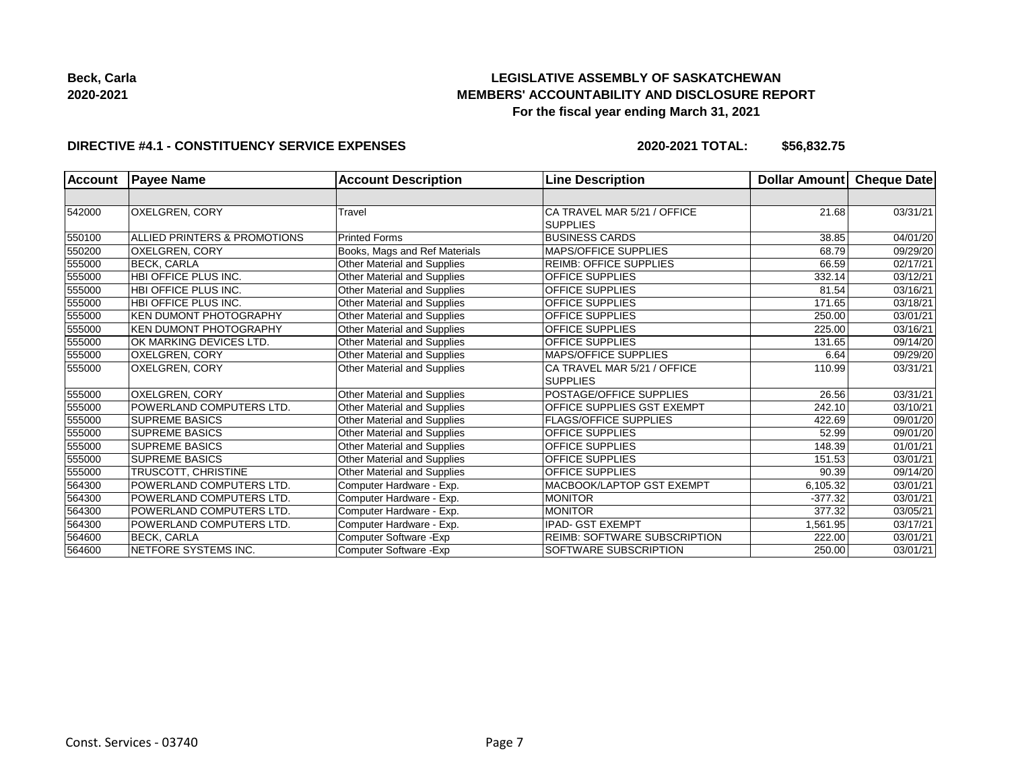

#### **DIRECTIVE #4.1 - CONSTITUENCY SERVICE EXPENSES**

| <b>Account</b> | <b>Payee Name</b>             | <b>Account Description</b>         | <b>Line Description</b>             | <b>Dollar Amountl</b> | <b>Cheque Date</b> |
|----------------|-------------------------------|------------------------------------|-------------------------------------|-----------------------|--------------------|
|                |                               |                                    |                                     |                       |                    |
| 542000         | <b>OXELGREN, CORY</b>         | Travel                             | CA TRAVEL MAR 5/21 / OFFICE         | 21.68                 | 03/31/21           |
|                |                               |                                    | <b>SUPPLIES</b>                     |                       |                    |
| 550100         | ALLIED PRINTERS & PROMOTIONS  | <b>Printed Forms</b>               | <b>BUSINESS CARDS</b>               | 38.85                 | 04/01/20           |
| 550200         | <b>OXELGREN, CORY</b>         | Books, Mags and Ref Materials      | <b>MAPS/OFFICE SUPPLIES</b>         | 68.79                 | 09/29/20           |
| 555000         | <b>BECK, CARLA</b>            | Other Material and Supplies        | <b>REIMB: OFFICE SUPPLIES</b>       | 66.59                 | 02/17/21           |
| 555000         | <b>HBI OFFICE PLUS INC.</b>   | Other Material and Supplies        | <b>OFFICE SUPPLIES</b>              | 332.14                | 03/12/21           |
| 555000         | HBI OFFICE PLUS INC.          | <b>Other Material and Supplies</b> | <b>OFFICE SUPPLIES</b>              | 81.54                 | 03/16/21           |
| 555000         | <b>HBI OFFICE PLUS INC.</b>   | Other Material and Supplies        | <b>OFFICE SUPPLIES</b>              | 171.65                | 03/18/21           |
| 555000         | <b>KEN DUMONT PHOTOGRAPHY</b> | <b>Other Material and Supplies</b> | <b>OFFICE SUPPLIES</b>              | 250.00                | 03/01/21           |
| 555000         | <b>KEN DUMONT PHOTOGRAPHY</b> | Other Material and Supplies        | <b>OFFICE SUPPLIES</b>              | 225.00                | 03/16/21           |
| 555000         | OK MARKING DEVICES LTD.       | <b>Other Material and Supplies</b> | <b>OFFICE SUPPLIES</b>              | 131.65                | 09/14/20           |
| 555000         | <b>OXELGREN, CORY</b>         | Other Material and Supplies        | <b>MAPS/OFFICE SUPPLIES</b>         | 6.64                  | 09/29/20           |
| 555000         | OXELGREN, CORY                | Other Material and Supplies        | CA TRAVEL MAR 5/21 / OFFICE         | 110.99                | 03/31/21           |
|                |                               |                                    | <b>SUPPLIES</b>                     |                       |                    |
| 555000         | <b>OXELGREN, CORY</b>         | Other Material and Supplies        | POSTAGE/OFFICE SUPPLIES             | 26.56                 | 03/31/21           |
| 555000         | POWERLAND COMPUTERS LTD.      | Other Material and Supplies        | <b>OFFICE SUPPLIES GST EXEMPT</b>   | 242.10                | 03/10/21           |
| 555000         | <b>SUPREME BASICS</b>         | <b>Other Material and Supplies</b> | <b>FLAGS/OFFICE SUPPLIES</b>        | 422.69                | 09/01/20           |
| 555000         | <b>SUPREME BASICS</b>         | <b>Other Material and Supplies</b> | <b>OFFICE SUPPLIES</b>              | 52.99                 | 09/01/20           |
| 555000         | <b>SUPREME BASICS</b>         | Other Material and Supplies        | <b>OFFICE SUPPLIES</b>              | 148.39                | 01/01/21           |
| 555000         | <b>SUPREME BASICS</b>         | Other Material and Supplies        | <b>OFFICE SUPPLIES</b>              | 151.53                | 03/01/21           |
| 555000         | TRUSCOTT, CHRISTINE           | <b>Other Material and Supplies</b> | <b>OFFICE SUPPLIES</b>              | 90.39                 | 09/14/20           |
| 564300         | POWERLAND COMPUTERS LTD.      | Computer Hardware - Exp.           | <b>MACBOOK/LAPTOP GST EXEMPT</b>    | 6,105.32              | 03/01/21           |
| 564300         | POWERLAND COMPUTERS LTD.      | Computer Hardware - Exp.           | <b>MONITOR</b>                      | $-377.32$             | 03/01/21           |
| 564300         | POWERLAND COMPUTERS LTD.      | Computer Hardware - Exp.           | <b>MONITOR</b>                      | 377.32                | 03/05/21           |
| 564300         | POWERLAND COMPUTERS LTD.      | Computer Hardware - Exp.           | <b>IPAD- GST EXEMPT</b>             | 1,561.95              | 03/17/21           |
| 564600         | <b>BECK, CARLA</b>            | Computer Software - Exp            | <b>REIMB: SOFTWARE SUBSCRIPTION</b> | 222.00                | 03/01/21           |
| 564600         | NETFORE SYSTEMS INC.          | Computer Software - Exp            | SOFTWARE SUBSCRIPTION               | 250.00                | 03/01/21           |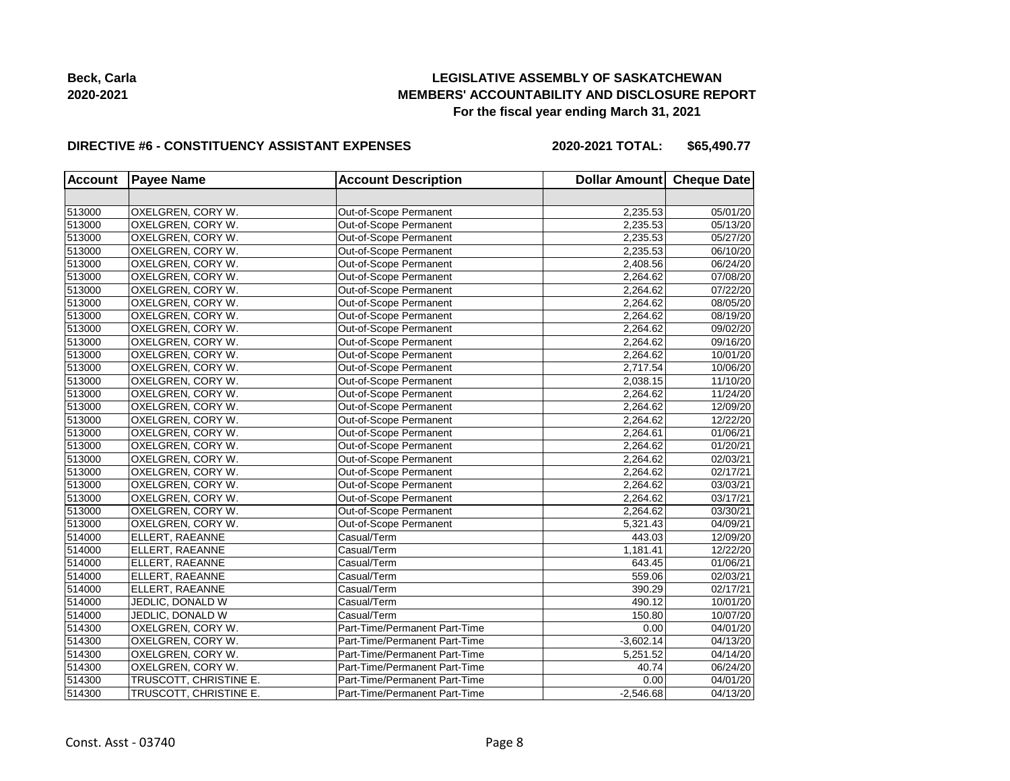# **LEGISLATIVE ASSEMBLY OF SASKATCHEWAN MEMBERS' ACCOUNTABILITY AND DISCLOSURE REPORT For the fiscal year ending March 31, 2021**

#### **DIRECTIVE #6 - CONSTITUENCY ASSISTANT EXPENSES**

**2020-2021 TOTAL: \$65,490.77**

| <b>Account</b> | <b>Payee Name</b>      | <b>Account Description</b>    | Dollar Amount Cheque Date |          |
|----------------|------------------------|-------------------------------|---------------------------|----------|
|                |                        |                               |                           |          |
| 513000         | OXELGREN, CORY W.      | Out-of-Scope Permanent        | 2,235.53                  | 05/01/20 |
| 513000         | OXELGREN, CORY W.      | Out-of-Scope Permanent        | 2,235.53                  | 05/13/20 |
| 513000         | OXELGREN, CORY W.      | Out-of-Scope Permanent        | 2,235.53                  | 05/27/20 |
| 513000         | OXELGREN, CORY W.      | Out-of-Scope Permanent        | 2,235.53                  | 06/10/20 |
| 513000         | OXELGREN, CORY W.      | Out-of-Scope Permanent        | 2,408.56                  | 06/24/20 |
| 513000         | OXELGREN, CORY W.      | Out-of-Scope Permanent        | 2,264.62                  | 07/08/20 |
| 513000         | OXELGREN, CORY W.      | Out-of-Scope Permanent        | 2,264.62                  | 07/22/20 |
| 513000         | OXELGREN, CORY W.      | Out-of-Scope Permanent        | 2,264.62                  | 08/05/20 |
| 513000         | OXELGREN, CORY W.      | Out-of-Scope Permanent        | 2,264.62                  | 08/19/20 |
| 513000         | OXELGREN, CORY W.      | Out-of-Scope Permanent        | 2,264.62                  | 09/02/20 |
| 513000         | OXELGREN, CORY W.      | Out-of-Scope Permanent        | 2,264.62                  | 09/16/20 |
| 513000         | OXELGREN, CORY W.      | Out-of-Scope Permanent        | 2,264.62                  | 10/01/20 |
| 513000         | OXELGREN, CORY W.      | Out-of-Scope Permanent        | 2,717.54                  | 10/06/20 |
| 513000         | OXELGREN, CORY W.      | Out-of-Scope Permanent        | 2,038.15                  | 11/10/20 |
| 513000         | OXELGREN, CORY W.      | Out-of-Scope Permanent        | 2,264.62                  | 11/24/20 |
| 513000         | OXELGREN, CORY W.      | Out-of-Scope Permanent        | 2,264.62                  | 12/09/20 |
| 513000         | OXELGREN, CORY W.      | Out-of-Scope Permanent        | 2,264.62                  | 12/22/20 |
| 513000         | OXELGREN, CORY W.      | Out-of-Scope Permanent        | 2,264.61                  | 01/06/21 |
| 513000         | OXELGREN, CORY W.      | Out-of-Scope Permanent        | 2,264.62                  | 01/20/21 |
| 513000         | OXELGREN, CORY W.      | Out-of-Scope Permanent        | 2,264.62                  | 02/03/21 |
| 513000         | OXELGREN, CORY W.      | Out-of-Scope Permanent        | 2,264.62                  | 02/17/21 |
| 513000         | OXELGREN, CORY W.      | Out-of-Scope Permanent        | 2,264.62                  | 03/03/21 |
| 513000         | OXELGREN, CORY W.      | Out-of-Scope Permanent        | 2,264.62                  | 03/17/21 |
| 513000         | OXELGREN, CORY W.      | Out-of-Scope Permanent        | 2,264.62                  | 03/30/21 |
| 513000         | OXELGREN, CORY W.      | Out-of-Scope Permanent        | 5,321.43                  | 04/09/21 |
| 514000         | ELLERT, RAEANNE        | Casual/Term                   | 443.03                    | 12/09/20 |
| 514000         | ELLERT, RAEANNE        | Casual/Term                   | 1,181.41                  | 12/22/20 |
| 514000         | ELLERT, RAEANNE        | Casual/Term                   | 643.45                    | 01/06/21 |
| 514000         | ELLERT, RAEANNE        | Casual/Term                   | 559.06                    | 02/03/21 |
| 514000         | ELLERT, RAEANNE        | Casual/Term                   | 390.29                    | 02/17/21 |
| 514000         | JEDLIC, DONALD W       | Casual/Term                   | 490.12                    | 10/01/20 |
| 514000         | JEDLIC, DONALD W       | Casual/Term                   | 150.80                    | 10/07/20 |
| 514300         | OXELGREN, CORY W.      | Part-Time/Permanent Part-Time | 0.00                      | 04/01/20 |
| 514300         | OXELGREN, CORY W.      | Part-Time/Permanent Part-Time | $-3,602.14$               | 04/13/20 |
| 514300         | OXELGREN, CORY W.      | Part-Time/Permanent Part-Time | 5,251.52                  | 04/14/20 |
| 514300         | OXELGREN, CORY W.      | Part-Time/Permanent Part-Time | 40.74                     | 06/24/20 |
| 514300         | TRUSCOTT, CHRISTINE E. | Part-Time/Permanent Part-Time | 0.00                      | 04/01/20 |
| 514300         | TRUSCOTT, CHRISTINE E. | Part-Time/Permanent Part-Time | $-2,546.68$               | 04/13/20 |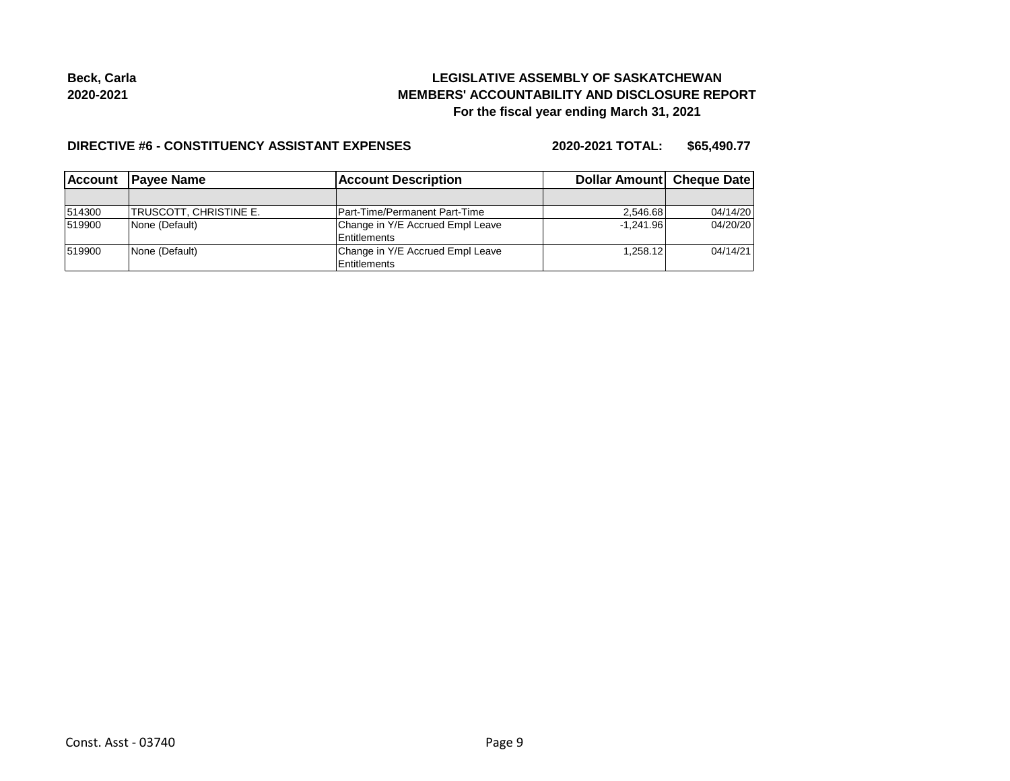# **LEGISLATIVE ASSEMBLY OF SASKATCHEWAN MEMBERS' ACCOUNTABILITY AND DISCLOSURE REPORT For the fiscal year ending March 31, 2021**

#### **DIRECTIVE #6 - CONSTITUENCY ASSISTANT EXPENSES**

**2020-2021 TOTAL: \$65,490.77**

| l Account | <b>IPavee Name</b>      | <b>Account Description</b>       | Dollar Amount Cheque Date |          |
|-----------|-------------------------|----------------------------------|---------------------------|----------|
|           |                         |                                  |                           |          |
| 514300    | ITRUSCOTT. CHRISTINE E. | Part-Time/Permanent Part-Time    | 2.546.68                  | 04/14/20 |
| 519900    | None (Default)          | Change in Y/E Accrued Empl Leave | $-1.241.96$               | 04/20/20 |
|           |                         | Entitlements                     |                           |          |
| 519900    | None (Default)          | Change in Y/E Accrued Empl Leave | 1.258.12                  | 04/14/21 |
|           |                         | <b>Entitlements</b>              |                           |          |